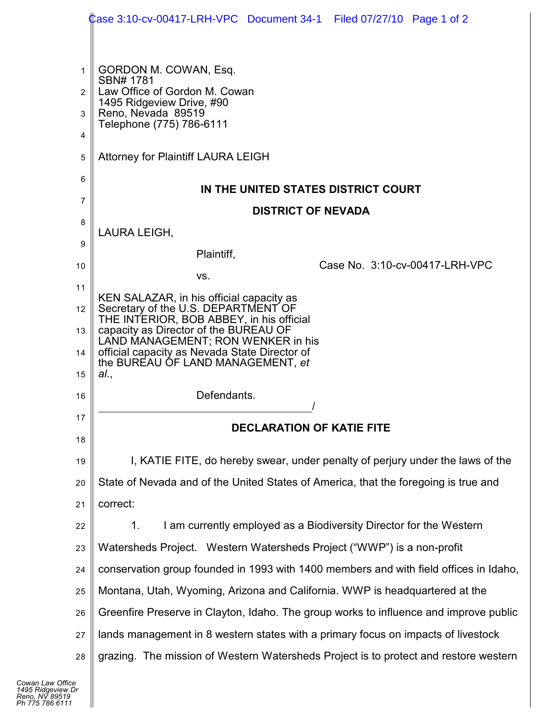|          | Case 3:10-cv-00417-LRH-VPC Document 34-1 Filed 07/27/10 Page 1 of 2                                                                                                   |  |  |  |  |  |  |  |
|----------|-----------------------------------------------------------------------------------------------------------------------------------------------------------------------|--|--|--|--|--|--|--|
|          |                                                                                                                                                                       |  |  |  |  |  |  |  |
| 1        | GORDON M. COWAN, Esq.                                                                                                                                                 |  |  |  |  |  |  |  |
| 2        | SBN# 1781<br>Law Office of Gordon M. Cowan                                                                                                                            |  |  |  |  |  |  |  |
| 3        | 1495 Ridgeview Drive, #90<br>Reno, Nevada 89519                                                                                                                       |  |  |  |  |  |  |  |
| 4        | Telephone (775) 786-6111                                                                                                                                              |  |  |  |  |  |  |  |
| 5        | <b>Attorney for Plaintiff LAURA LEIGH</b>                                                                                                                             |  |  |  |  |  |  |  |
| 6        | IN THE UNITED STATES DISTRICT COURT                                                                                                                                   |  |  |  |  |  |  |  |
| 7        | <b>DISTRICT OF NEVADA</b>                                                                                                                                             |  |  |  |  |  |  |  |
| 8        | LAURA LEIGH,                                                                                                                                                          |  |  |  |  |  |  |  |
| 9        | Plaintiff,                                                                                                                                                            |  |  |  |  |  |  |  |
| 10       | Case No. 3:10-cv-00417-LRH-VPC<br>VS.                                                                                                                                 |  |  |  |  |  |  |  |
| 11       | KEN SALAZAR, in his official capacity as                                                                                                                              |  |  |  |  |  |  |  |
| 12       | Secretary of the U.S. DEPARTMENT OF<br>THE INTERIOR, BOB ABBEY, in his official                                                                                       |  |  |  |  |  |  |  |
| 13       | capacity as Director of the BUREAU OF<br>LAND MANAGEMENT; RON WENKER in his                                                                                           |  |  |  |  |  |  |  |
| 14       | official capacity as Nevada State Director of<br>the BUREAU OF LAND MANAGEMENT, et                                                                                    |  |  |  |  |  |  |  |
| 15       | al.,                                                                                                                                                                  |  |  |  |  |  |  |  |
| 16       | Defendants.                                                                                                                                                           |  |  |  |  |  |  |  |
| 17       | <b>DECLARATION OF KATIE FITE</b>                                                                                                                                      |  |  |  |  |  |  |  |
| 18       |                                                                                                                                                                       |  |  |  |  |  |  |  |
| 19<br>20 | I, KATIE FITE, do hereby swear, under penalty of perjury under the laws of the<br>State of Nevada and of the United States of America, that the foregoing is true and |  |  |  |  |  |  |  |
| 21       | correct:                                                                                                                                                              |  |  |  |  |  |  |  |
| 22       | I am currently employed as a Biodiversity Director for the Western<br>1.                                                                                              |  |  |  |  |  |  |  |
| 23       | Watersheds Project. Western Watersheds Project ("WWP") is a non-profit                                                                                                |  |  |  |  |  |  |  |
| 24       | conservation group founded in 1993 with 1400 members and with field offices in Idaho,                                                                                 |  |  |  |  |  |  |  |
| 25       | Montana, Utah, Wyoming, Arizona and California. WWP is headquartered at the                                                                                           |  |  |  |  |  |  |  |
| 26       | Greenfire Preserve in Clayton, Idaho. The group works to influence and improve public                                                                                 |  |  |  |  |  |  |  |
| 27       | lands management in 8 western states with a primary focus on impacts of livestock                                                                                     |  |  |  |  |  |  |  |
| 28       | grazing. The mission of Western Watersheds Project is to protect and restore western                                                                                  |  |  |  |  |  |  |  |

 $\blacksquare$